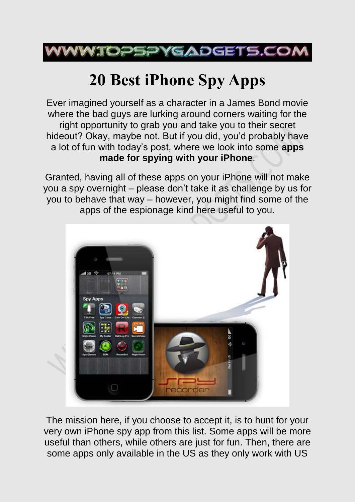

# **20 Best iPhone Spy Apps**

Ever imagined yourself as a character in a James Bond movie where the bad guys are lurking around corners waiting for the right opportunity to grab you and take you to their secret hideout? Okay, maybe not. But if you did, you'd probably have a lot of fun with today's post, where we look into some **apps made for spying with your iPhone**.

Granted, having all of these apps on your iPhone will not make you a spy overnight – please don't take it as challenge by us for you to behave that way – however, you might find some of the apps of the espionage kind here useful to you.



The mission here, if you choose to accept it, is to hunt for your very own iPhone spy app from this list. Some apps will be more useful than others, while others are just for fun. Then, there are some apps only available in the US as they only work with US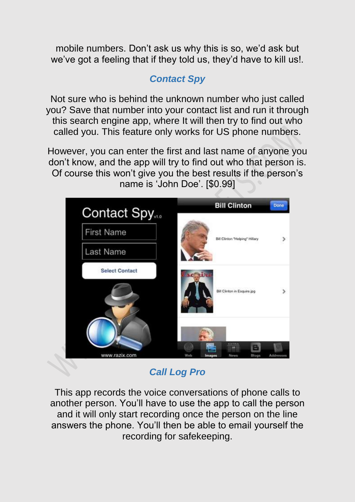mobile numbers. Don't ask us why this is so, we'd ask but we've got a feeling that if they told us, they'd have to kill us!.

# *Contact Spy*

Not sure who is behind the unknown number who just called you? Save that number into your contact list and run it through this search engine app, where It will then try to find out who called you. This feature only works for US phone numbers.

However, you can enter the first and last name of anyone you don't know, and the app will try to find out who that person is. Of course this won't give you the best results if the person's name is 'John Doe'. [\$0.99]



*Call Log Pro*

This app records the voice conversations of phone calls to another person. You'll have to use the app to call the person and it will only start recording once the person on the line answers the phone. You'll then be able to email yourself the recording for safekeeping.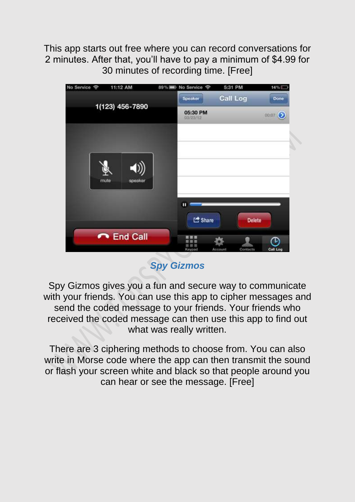This app starts out free where you can record conversations for 2 minutes. After that, you'll have to pay a minimum of \$4.99 for 30 minutes of recording time. [Free]



*Spy Gizmos*

Spy Gizmos gives you a fun and secure way to communicate with your friends. You can use this app to cipher messages and send the coded message to your friends. Your friends who received the coded message can then use this app to find out what was really written.

There are 3 ciphering methods to choose from. You can also write in Morse code where the app can then transmit the sound or flash your screen white and black so that people around you can hear or see the message. [Free]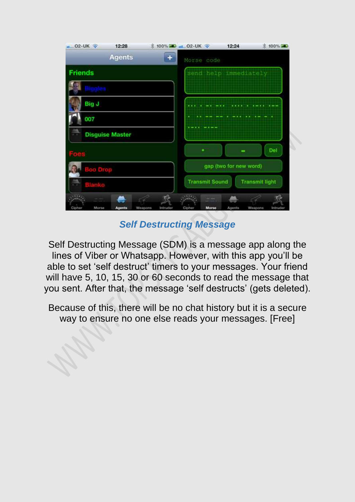| $-02-UK$               | 12:28         | % 100% 2  02-UK →   |                                                |       | 12:24                 | ☆ 100%              |
|------------------------|---------------|---------------------|------------------------------------------------|-------|-----------------------|---------------------|
|                        | <b>Agents</b> |                     | Morse code                                     |       |                       |                     |
| <b>Friends</b>         |               |                     |                                                |       | send help immediately |                     |
|                        |               |                     |                                                |       |                       |                     |
| Big J                  |               |                     |                                                |       |                       |                     |
| 007                    |               |                     |                                                |       |                       |                     |
| <b>Disguise Master</b> |               |                     |                                                |       |                       |                     |
| Aty                    |               |                     |                                                |       |                       | Del                 |
| <b>Boo Drop</b>        |               |                     | gap (two for new word)                         |       |                       |                     |
|                        |               |                     | <b>Transmit Sound</b><br><b>Transmit light</b> |       |                       |                     |
|                        |               |                     |                                                | w.    |                       |                     |
| Morse<br>Cipher        | <b>Agents</b> | Weapons<br>Intruder | Cipher                                         | Morse | Agents                | Weapons<br>Intruder |

*Self Destructing Message*

Self Destructing Message (SDM) is a message app along the lines of Viber or Whatsapp. However, with this app you'll be able to set 'self destruct' timers to your messages. Your friend will have 5, 10, 15, 30 or 60 seconds to read the message that you sent. After that, the message 'self destructs' (gets deleted).

Because of this, there will be no chat history but it is a secure way to ensure no one else reads your messages. [Free]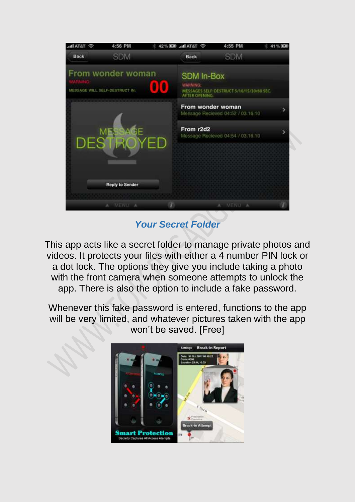

*Your Secret Folder*

This app acts like a secret folder to manage private photos and videos. It protects your files with either a 4 number PIN lock or a dot lock. The options they give you include taking a photo with the front camera when someone attempts to unlock the app. There is also the option to include a fake password.

Whenever this fake password is entered, functions to the app will be very limited, and whatever pictures taken with the app won't be saved. [Free]

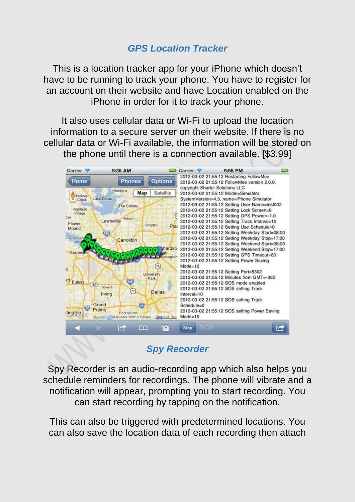#### *GPS Location Tracker*

This is a location tracker app for your iPhone which doesn't have to be running to track your phone. You have to register for an account on their website and have Location enabled on the iPhone in order for it to track your phone.

It also uses cellular data or Wi-Fi to upload the location information to a secure server on their website. If there is no cellular data or Wi-Fi available, the information will be stored on the phone until there is a connection available. [\$3.99]



# *Spy Recorder*

Spy Recorder is an audio-recording app which also helps you schedule reminders for recordings. The phone will vibrate and a notification will appear, prompting you to start recording. You can start recording by tapping on the notification.

This can also be triggered with predetermined locations. You can also save the location data of each recording then attach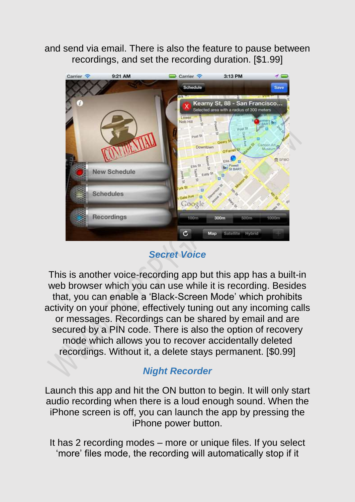and send via email. There is also the feature to pause between recordings, and set the recording duration. [\$1.99]



*Secret Voice*

This is another voice-recording app but this app has a built-in web browser which you can use while it is recording. Besides that, you can enable a 'Black-Screen Mode' which prohibits activity on your phone, effectively tuning out any incoming calls or messages. Recordings can be shared by email and are secured by a PIN code. There is also the option of recovery mode which allows you to recover accidentally deleted recordings. Without it, a delete stays permanent. [\$0.99]

# *Night Recorder*

Launch this app and hit the ON button to begin. It will only start audio recording when there is a loud enough sound. When the iPhone screen is off, you can launch the app by pressing the iPhone power button.

It has 2 recording modes – more or unique files. If you select 'more' files mode, the recording will automatically stop if it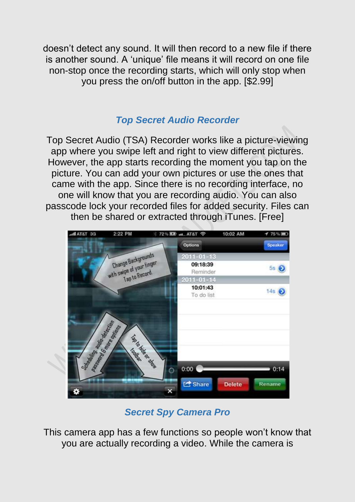doesn't detect any sound. It will then record to a new file if there is another sound. A 'unique' file means it will record on one file non-stop once the recording starts, which will only stop when you press the on/off button in the app. [\$2.99]

# *Top Secret Audio Recorder*

Top Secret Audio (TSA) Recorder works like a picture-viewing app where you swipe left and right to view different pictures. However, the app starts recording the moment you tap on the picture. You can add your own pictures or use the ones that came with the app. Since there is no recording interface, no one will know that you are recording audio. You can also passcode lock your recorded files for added security. Files can then be shared or extracted through iTunes. [Free]



*Secret Spy Camera Pro*

This camera app has a few functions so people won't know that you are actually recording a video. While the camera is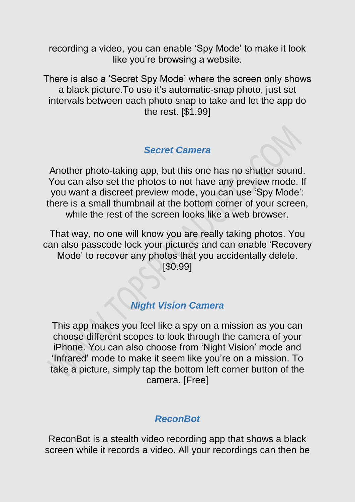recording a video, you can enable 'Spy Mode' to make it look like you're browsing a website.

There is also a 'Secret Spy Mode' where the screen only shows a black picture.To use it's automatic-snap photo, just set intervals between each photo snap to take and let the app do the rest. [\$1.99]

#### *Secret Camera*

Another photo-taking app, but this one has no shutter sound. You can also set the photos to not have any preview mode. If you want a discreet preview mode, you can use 'Spy Mode': there is a small thumbnail at the bottom corner of your screen, while the rest of the screen looks like a web browser.

That way, no one will know you are really taking photos. You can also passcode lock your pictures and can enable 'Recovery Mode' to recover any photos that you accidentally delete. [\$0.99]

# *Night Vision Camera*

This app makes you feel like a spy on a mission as you can choose different scopes to look through the camera of your iPhone. You can also choose from 'Night Vision' mode and 'Infrared' mode to make it seem like you're on a mission. To take a picture, simply tap the bottom left corner button of the camera. [Free]

#### *ReconBot*

ReconBot is a stealth video recording app that shows a black screen while it records a video. All your recordings can then be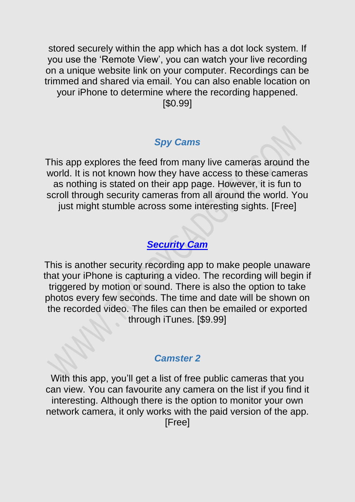stored securely within the app which has a dot lock system. If you use the 'Remote View', you can watch your live recording on a unique website link on your computer. Recordings can be trimmed and shared via email. You can also enable location on your iPhone to determine where the recording happened. [\$0.99]

#### *Spy Cams*

This app explores the feed from many live cameras around the world. It is not known how they have access to these cameras as nothing is stated on their app page. However, it is fun to scroll through security cameras from all around the world. You just might stumble across some interesting sights. [Free]

# *[Security Cam](http://itunes.apple.com/us/app/security-cam/id300220373?mt=8)*

This is another security recording app to make people unaware that your iPhone is capturing a video. The recording will begin if triggered by motion or sound. There is also the option to take photos every few seconds. The time and date will be shown on the recorded video. The files can then be emailed or exported through iTunes. [\$9.99]

# *Camster 2*

With this app, you'll get a list of free public cameras that you can view. You can favourite any camera on the list if you find it interesting. Although there is the option to monitor your own network camera, it only works with the paid version of the app. [Free]